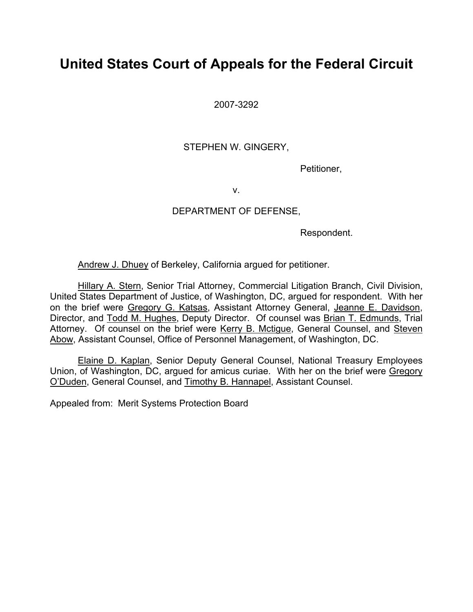# **United States Court of Appeals for the Federal Circuit**

2007-3292

## STEPHEN W. GINGERY,

Petitioner,

v.

### DEPARTMENT OF DEFENSE,

Respondent.

Andrew J. Dhuey of Berkeley, California argued for petitioner.

Hillary A. Stern, Senior Trial Attorney, Commercial Litigation Branch, Civil Division, United States Department of Justice, of Washington, DC, argued for respondent. With her on the brief were Gregory G. Katsas, Assistant Attorney General, Jeanne E. Davidson, Director, and Todd M. Hughes, Deputy Director. Of counsel was Brian T. Edmunds, Trial Attorney. Of counsel on the brief were Kerry B. Mctigue, General Counsel, and Steven Abow, Assistant Counsel, Office of Personnel Management, of Washington, DC.

Elaine D. Kaplan, Senior Deputy General Counsel, National Treasury Employees Union, of Washington, DC, argued for amicus curiae. With her on the brief were Gregory O'Duden, General Counsel, and Timothy B. Hannapel, Assistant Counsel.

Appealed from: Merit Systems Protection Board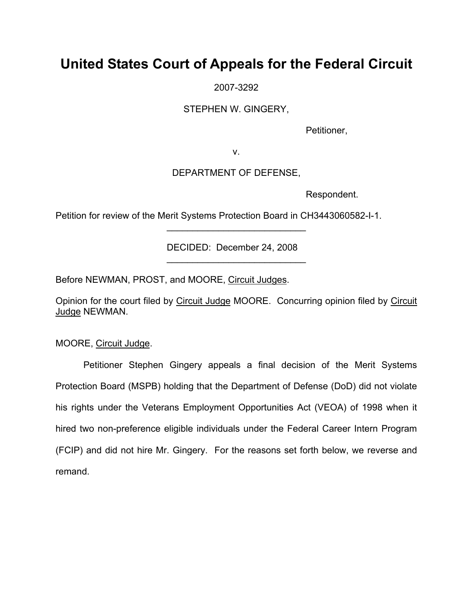# **United States Court of Appeals for the Federal Circuit**

2007-3292

STEPHEN W. GINGERY,

Petitioner,

v.

## DEPARTMENT OF DEFENSE,

Respondent.

Petition for review of the Merit Systems Protection Board in CH3443060582-I-1.

DECIDED: December 24, 2008  $\overline{\phantom{a}}$  , where  $\overline{\phantom{a}}$  , where  $\overline{\phantom{a}}$  , where  $\overline{\phantom{a}}$ 

 $\overline{\phantom{a}}$  , where  $\overline{\phantom{a}}$  , where  $\overline{\phantom{a}}$  , where  $\overline{\phantom{a}}$ 

Before NEWMAN, PROST, and MOORE, Circuit Judges.

Opinion for the court filed by Circuit Judge MOORE. Concurring opinion filed by Circuit Judge NEWMAN.

MOORE, Circuit Judge.

Petitioner Stephen Gingery appeals a final decision of the Merit Systems Protection Board (MSPB) holding that the Department of Defense (DoD) did not violate his rights under the Veterans Employment Opportunities Act (VEOA) of 1998 when it hired two non-preference eligible individuals under the Federal Career Intern Program (FCIP) and did not hire Mr. Gingery. For the reasons set forth below, we reverse and remand.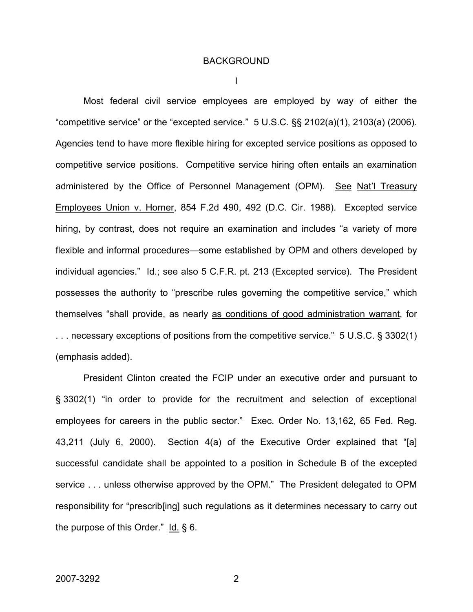#### BACKGROUND

I

Most federal civil service employees are employed by way of either the "competitive service" or the "excepted service."  $5 \text{ U.S.C.}$   $\S$ § 2102(a)(1), 2103(a) (2006). Agencies tend to have more flexible hiring for excepted service positions as opposed to competitive service positions. Competitive service hiring often entails an examination administered by the Office of Personnel Management (OPM). See Nat'l Treasury Employees Union v. Horner, 854 F.2d 490, 492 (D.C. Cir. 1988). Excepted service hiring, by contrast, does not require an examination and includes "a variety of more flexible and informal procedures—some established by OPM and others developed by individual agencies." Id.; see also 5 C.F.R. pt. 213 (Excepted service). The President possesses the authority to "prescribe rules governing the competitive service," which themselves "shall provide, as nearly as conditions of good administration warrant, for . . . necessary exceptions of positions from the competitive service." 5 U.S.C. § 3302(1) (emphasis added).

President Clinton created the FCIP under an executive order and pursuant to § 3302(1) "in order to provide for the recruitment and selection of exceptional employees for careers in the public sector." Exec. Order No. 13,162, 65 Fed. Reg. 43,211 (July 6, 2000). Section 4(a) of the Executive Order explained that "[a] successful candidate shall be appointed to a position in Schedule B of the excepted service . . . unless otherwise approved by the OPM." The President delegated to OPM responsibility for "prescrib[ing] such regulations as it determines necessary to carry out the purpose of this Order." Id. § 6.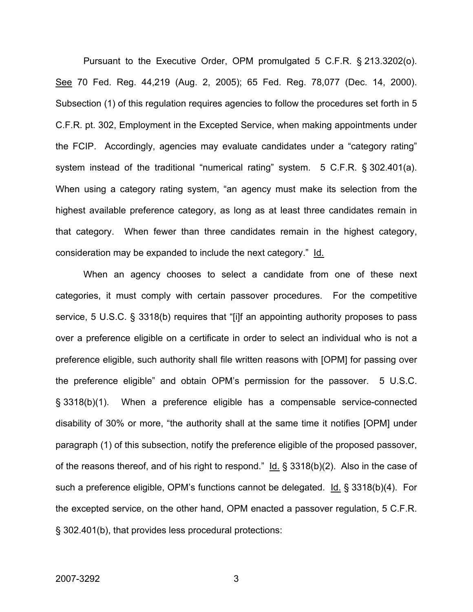Pursuant to the Executive Order, OPM promulgated 5 C.F.R. § 213.3202(o). See 70 Fed. Reg. 44,219 (Aug. 2, 2005); 65 Fed. Reg. 78,077 (Dec. 14, 2000). Subsection (1) of this regulation requires agencies to follow the procedures set forth in 5 C.F.R. pt. 302, Employment in the Excepted Service, when making appointments under the FCIP. Accordingly, agencies may evaluate candidates under a "category rating" system instead of the traditional "numerical rating" system. 5 C.F.R. § 302.401(a). When using a category rating system, "an agency must make its selection from the highest available preference category, as long as at least three candidates remain in that category. When fewer than three candidates remain in the highest category, consideration may be expanded to include the next category." Id.

When an agency chooses to select a candidate from one of these next categories, it must comply with certain passover procedures. For the competitive service, 5 U.S.C. § 3318(b) requires that "[i]f an appointing authority proposes to pass over a preference eligible on a certificate in order to select an individual who is not a preference eligible, such authority shall file written reasons with [OPM] for passing over the preference eligible" and obtain OPM's permission for the passover. 5 U.S.C. § 3318(b)(1). When a preference eligible has a compensable service-connected disability of 30% or more, "the authority shall at the same time it notifies [OPM] under paragraph (1) of this subsection, notify the preference eligible of the proposed passover, of the reasons thereof, and of his right to respond."  $Id. \S$  3318(b)(2). Also in the case of such a preference eligible, OPM's functions cannot be delegated. Id. § 3318(b)(4). For the excepted service, on the other hand, OPM enacted a passover regulation, 5 C.F.R. § 302.401(b), that provides less procedural protections: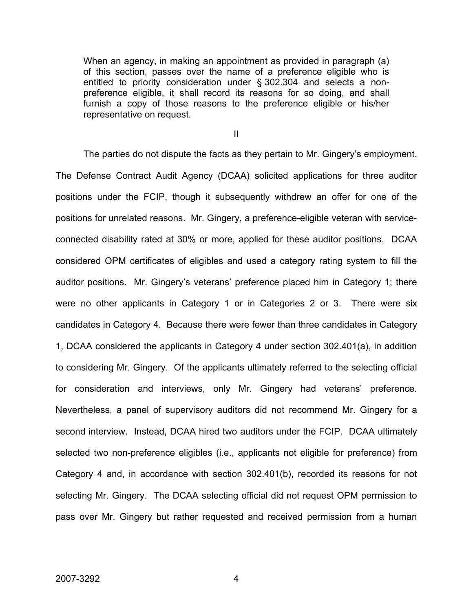When an agency, in making an appointment as provided in paragraph (a) of this section, passes over the name of a preference eligible who is entitled to priority consideration under § 302.304 and selects a nonpreference eligible, it shall record its reasons for so doing, and shall furnish a copy of those reasons to the preference eligible or his/her representative on request.

II

The parties do not dispute the facts as they pertain to Mr. Gingery's employment. The Defense Contract Audit Agency (DCAA) solicited applications for three auditor positions under the FCIP, though it subsequently withdrew an offer for one of the positions for unrelated reasons. Mr. Gingery, a preference-eligible veteran with serviceconnected disability rated at 30% or more, applied for these auditor positions. DCAA considered OPM certificates of eligibles and used a category rating system to fill the auditor positions. Mr. Gingery's veterans' preference placed him in Category 1; there were no other applicants in Category 1 or in Categories 2 or 3. There were six candidates in Category 4. Because there were fewer than three candidates in Category 1, DCAA considered the applicants in Category 4 under section 302.401(a), in addition to considering Mr. Gingery. Of the applicants ultimately referred to the selecting official for consideration and interviews, only Mr. Gingery had veterans' preference. Nevertheless, a panel of supervisory auditors did not recommend Mr. Gingery for a second interview. Instead, DCAA hired two auditors under the FCIP. DCAA ultimately selected two non-preference eligibles (i.e., applicants not eligible for preference) from Category 4 and, in accordance with section 302.401(b), recorded its reasons for not selecting Mr. Gingery. The DCAA selecting official did not request OPM permission to pass over Mr. Gingery but rather requested and received permission from a human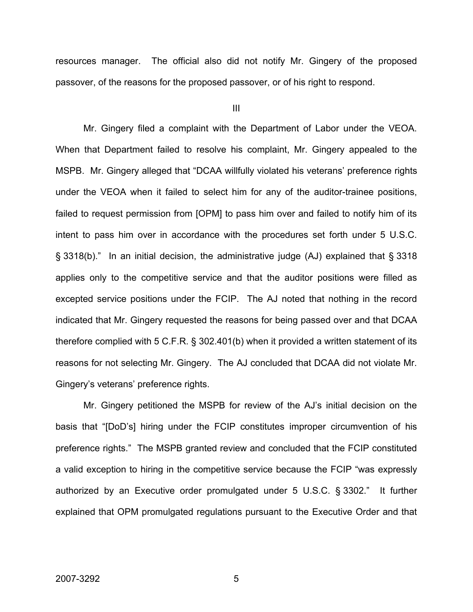resources manager. The official also did not notify Mr. Gingery of the proposed passover, of the reasons for the proposed passover, or of his right to respond.

III

Mr. Gingery filed a complaint with the Department of Labor under the VEOA. When that Department failed to resolve his complaint, Mr. Gingery appealed to the MSPB. Mr. Gingery alleged that "DCAA willfully violated his veterans' preference rights under the VEOA when it failed to select him for any of the auditor-trainee positions, failed to request permission from [OPM] to pass him over and failed to notify him of its intent to pass him over in accordance with the procedures set forth under 5 U.S.C. § 3318(b)." In an initial decision, the administrative judge (AJ) explained that § 3318 applies only to the competitive service and that the auditor positions were filled as excepted service positions under the FCIP. The AJ noted that nothing in the record indicated that Mr. Gingery requested the reasons for being passed over and that DCAA therefore complied with 5 C.F.R. § 302.401(b) when it provided a written statement of its reasons for not selecting Mr. Gingery. The AJ concluded that DCAA did not violate Mr. Gingery's veterans' preference rights.

Mr. Gingery petitioned the MSPB for review of the AJ's initial decision on the basis that "[DoD's] hiring under the FCIP constitutes improper circumvention of his preference rights." The MSPB granted review and concluded that the FCIP constituted a valid exception to hiring in the competitive service because the FCIP "was expressly authorized by an Executive order promulgated under 5 U.S.C. § 3302." It further explained that OPM promulgated regulations pursuant to the Executive Order and that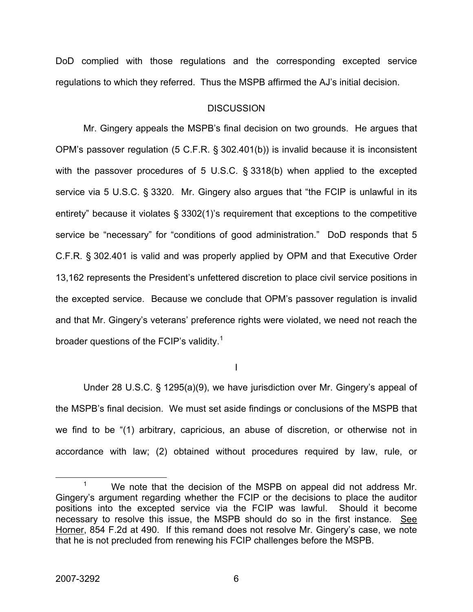DoD complied with those regulations and the corresponding excepted service regulations to which they referred. Thus the MSPB affirmed the AJ's initial decision.

#### **DISCUSSION**

Mr. Gingery appeals the MSPB's final decision on two grounds. He argues that OPM's passover regulation (5 C.F.R. § 302.401(b)) is invalid because it is inconsistent with the passover procedures of 5 U.S.C. § 3318(b) when applied to the excepted service via 5 U.S.C. § 3320. Mr. Gingery also argues that "the FCIP is unlawful in its entirety" because it violates § 3302(1)'s requirement that exceptions to the competitive service be "necessary" for "conditions of good administration." DoD responds that 5 C.F.R. § 302.401 is valid and was properly applied by OPM and that Executive Order 13,162 represents the President's unfettered discretion to place civil service positions in the excepted service. Because we conclude that OPM's passover regulation is invalid and that Mr. Gingery's veterans' preference rights were violated, we need not reach the broader questions of the FCIP's validity.<sup>[1](#page-6-0)</sup>

I

Under 28 U.S.C. § 1295(a)(9), we have jurisdiction over Mr. Gingery's appeal of the MSPB's final decision. We must set aside findings or conclusions of the MSPB that we find to be "(1) arbitrary, capricious, an abuse of discretion, or otherwise not in accordance with law; (2) obtained without procedures required by law, rule, or

<span id="page-6-0"></span> $\frac{1}{1}$  $1$  We note that the decision of the MSPB on appeal did not address Mr. Gingery's argument regarding whether the FCIP or the decisions to place the auditor positions into the excepted service via the FCIP was lawful. Should it become necessary to resolve this issue, the MSPB should do so in the first instance. See Horner, 854 F.2d at 490. If this remand does not resolve Mr. Gingery's case, we note that he is not precluded from renewing his FCIP challenges before the MSPB.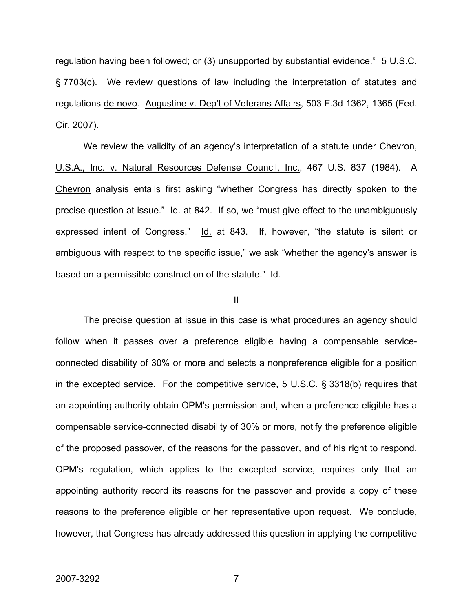regulation having been followed; or (3) unsupported by substantial evidence." 5 U.S.C. § 7703(c). We review questions of law including the interpretation of statutes and regulations de novo. Augustine v. Dep't of Veterans Affairs, 503 F.3d 1362, 1365 (Fed. Cir. 2007).

We review the validity of an agency's interpretation of a statute under Chevron, U.S.A., Inc. v. Natural Resources Defense Council, Inc., 467 U.S. 837 (1984). A Chevron analysis entails first asking "whether Congress has directly spoken to the precise question at issue." Id. at 842. If so, we "must give effect to the unambiguously expressed intent of Congress." Id. at 843. If, however, "the statute is silent or ambiguous with respect to the specific issue," we ask "whether the agency's answer is based on a permissible construction of the statute." Id.

#### II

The precise question at issue in this case is what procedures an agency should follow when it passes over a preference eligible having a compensable serviceconnected disability of 30% or more and selects a nonpreference eligible for a position in the excepted service. For the competitive service, 5 U.S.C. § 3318(b) requires that an appointing authority obtain OPM's permission and, when a preference eligible has a compensable service-connected disability of 30% or more, notify the preference eligible of the proposed passover, of the reasons for the passover, and of his right to respond. OPM's regulation, which applies to the excepted service, requires only that an appointing authority record its reasons for the passover and provide a copy of these reasons to the preference eligible or her representative upon request. We conclude, however, that Congress has already addressed this question in applying the competitive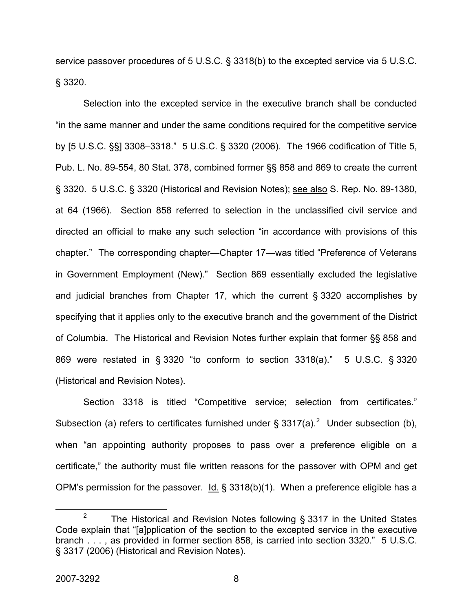service passover procedures of 5 U.S.C. § 3318(b) to the excepted service via 5 U.S.C. § 3320.

Selection into the excepted service in the executive branch shall be conducted "in the same manner and under the same conditions required for the competitive service by [5 U.S.C. §§] 3308–3318." 5 U.S.C. § 3320 (2006). The 1966 codification of Title 5, Pub. L. No. 89-554, 80 Stat. 378, combined former §§ 858 and 869 to create the current § 3320. 5 U.S.C. § 3320 (Historical and Revision Notes); see also S. Rep. No. 89-1380, at 64 (1966). Section 858 referred to selection in the unclassified civil service and directed an official to make any such selection "in accordance with provisions of this chapter." The corresponding chapter—Chapter 17—was titled "Preference of Veterans in Government Employment (New)." Section 869 essentially excluded the legislative and judicial branches from Chapter 17, which the current § 3320 accomplishes by specifying that it applies only to the executive branch and the government of the District of Columbia. The Historical and Revision Notes further explain that former §§ 858 and 869 were restated in § 3320 "to conform to section 3318(a)." 5 U.S.C. § 3320 (Historical and Revision Notes).

Section 3318 is titled "Competitive service; selection from certificates." Subsection (a) refers to certificates furnished under § 3317(a).<sup>[2](#page-8-0)</sup> Under subsection (b), when "an appointing authority proposes to pass over a preference eligible on a certificate," the authority must file written reasons for the passover with OPM and get OPM's permission for the passover.  $Id. \S$  3318(b)(1). When a preference eligible has a

<span id="page-8-0"></span> $\frac{1}{2}$ <sup>2</sup> The Historical and Revision Notes following § 3317 in the United States Code explain that "[a]pplication of the section to the excepted service in the executive branch . . . , as provided in former section 858, is carried into section 3320." 5 U.S.C. § 3317 (2006) (Historical and Revision Notes).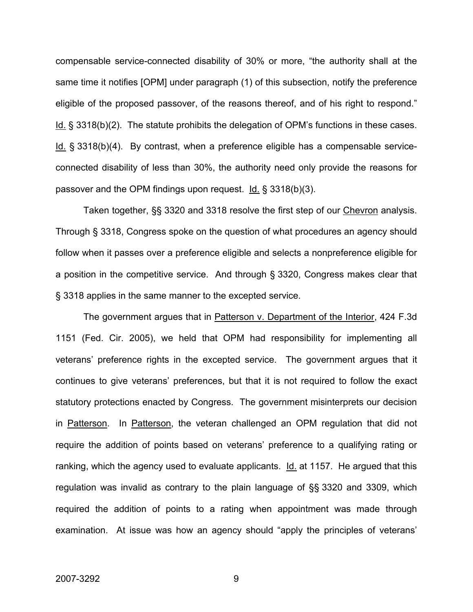compensable service-connected disability of 30% or more, "the authority shall at the same time it notifies [OPM] under paragraph (1) of this subsection, notify the preference eligible of the proposed passover, of the reasons thereof, and of his right to respond." Id. § 3318(b)(2). The statute prohibits the delegation of OPM's functions in these cases. Id. § 3318(b)(4). By contrast, when a preference eligible has a compensable serviceconnected disability of less than 30%, the authority need only provide the reasons for passover and the OPM findings upon request. Id. § 3318(b)(3).

Taken together, §§ 3320 and 3318 resolve the first step of our Chevron analysis. Through § 3318, Congress spoke on the question of what procedures an agency should follow when it passes over a preference eligible and selects a nonpreference eligible for a position in the competitive service. And through § 3320, Congress makes clear that § 3318 applies in the same manner to the excepted service.

The government argues that in Patterson v. Department of the Interior, 424 F.3d 1151 (Fed. Cir. 2005), we held that OPM had responsibility for implementing all veterans' preference rights in the excepted service. The government argues that it continues to give veterans' preferences, but that it is not required to follow the exact statutory protections enacted by Congress. The government misinterprets our decision in Patterson. In Patterson, the veteran challenged an OPM regulation that did not require the addition of points based on veterans' preference to a qualifying rating or ranking, which the agency used to evaluate applicants.  $Id$  at 1157. He argued that this regulation was invalid as contrary to the plain language of §§ 3320 and 3309, which required the addition of points to a rating when appointment was made through examination. At issue was how an agency should "apply the principles of veterans'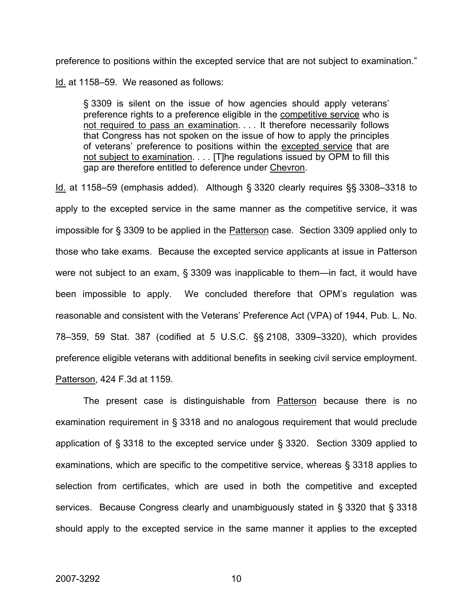preference to positions within the excepted service that are not subject to examination."

Id. at 1158–59. We reasoned as follows:

§ 3309 is silent on the issue of how agencies should apply veterans' preference rights to a preference eligible in the competitive service who is not required to pass an examination. . . . It therefore necessarily follows that Congress has not spoken on the issue of how to apply the principles of veterans' preference to positions within the excepted service that are not subject to examination. . . . [T]he regulations issued by OPM to fill this gap are therefore entitled to deference under Chevron.

Id. at 1158–59 (emphasis added). Although § 3320 clearly requires §§ 3308–3318 to apply to the excepted service in the same manner as the competitive service, it was impossible for § 3309 to be applied in the Patterson case. Section 3309 applied only to those who take exams. Because the excepted service applicants at issue in Patterson were not subject to an exam, § 3309 was inapplicable to them—in fact, it would have been impossible to apply. We concluded therefore that OPM's regulation was reasonable and consistent with the Veterans' Preference Act (VPA) of 1944, Pub. L. No. 78–359, 59 Stat. 387 (codified at 5 U.S.C. §§ 2108, 3309–3320), which provides preference eligible veterans with additional benefits in seeking civil service employment. Patterson, 424 F.3d at 1159.

The present case is distinguishable from Patterson because there is no examination requirement in § 3318 and no analogous requirement that would preclude application of § 3318 to the excepted service under § 3320. Section 3309 applied to examinations, which are specific to the competitive service, whereas § 3318 applies to selection from certificates, which are used in both the competitive and excepted services. Because Congress clearly and unambiguously stated in § 3320 that § 3318 should apply to the excepted service in the same manner it applies to the excepted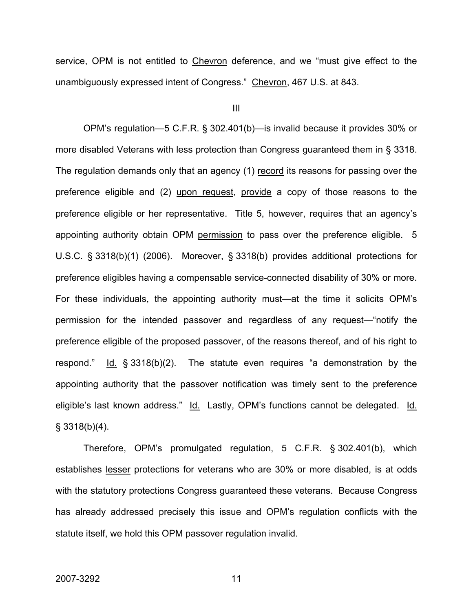service, OPM is not entitled to Chevron deference, and we "must give effect to the unambiguously expressed intent of Congress." Chevron, 467 U.S. at 843.

III

OPM's regulation—5 C.F.R. § 302.401(b)—is invalid because it provides 30% or more disabled Veterans with less protection than Congress guaranteed them in § 3318. The regulation demands only that an agency (1) record its reasons for passing over the preference eligible and (2) upon request, provide a copy of those reasons to the preference eligible or her representative. Title 5, however, requires that an agency's appointing authority obtain OPM permission to pass over the preference eligible. 5 U.S.C. § 3318(b)(1) (2006). Moreover, § 3318(b) provides additional protections for preference eligibles having a compensable service-connected disability of 30% or more. For these individuals, the appointing authority must—at the time it solicits OPM's permission for the intended passover and regardless of any request—"notify the preference eligible of the proposed passover, of the reasons thereof, and of his right to respond."  $Id. \S$  3318(b)(2). The statute even requires "a demonstration by the appointing authority that the passover notification was timely sent to the preference eligible's last known address." Id. Lastly, OPM's functions cannot be delegated. Id.  $§$  3318(b)(4).

Therefore, OPM's promulgated regulation, 5 C.F.R. § 302.401(b), which establishes lesser protections for veterans who are 30% or more disabled, is at odds with the statutory protections Congress guaranteed these veterans. Because Congress has already addressed precisely this issue and OPM's regulation conflicts with the statute itself, we hold this OPM passover regulation invalid.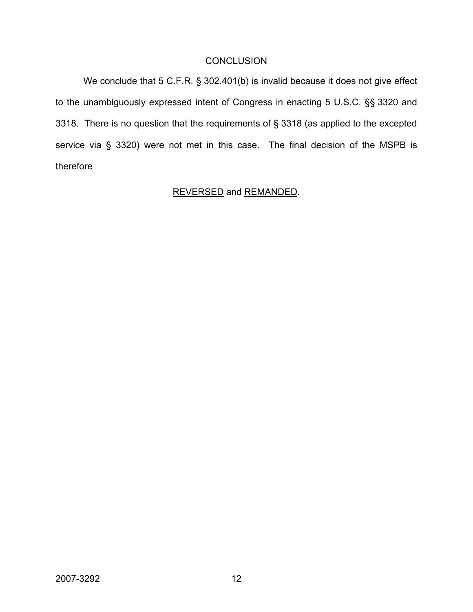## **CONCLUSION**

We conclude that 5 C.F.R. § 302.401(b) is invalid because it does not give effect to the unambiguously expressed intent of Congress in enacting 5 U.S.C. §§ 3320 and 3318. There is no question that the requirements of § 3318 (as applied to the excepted service via § 3320) were not met in this case. The final decision of the MSPB is therefore

## REVERSED and REMANDED.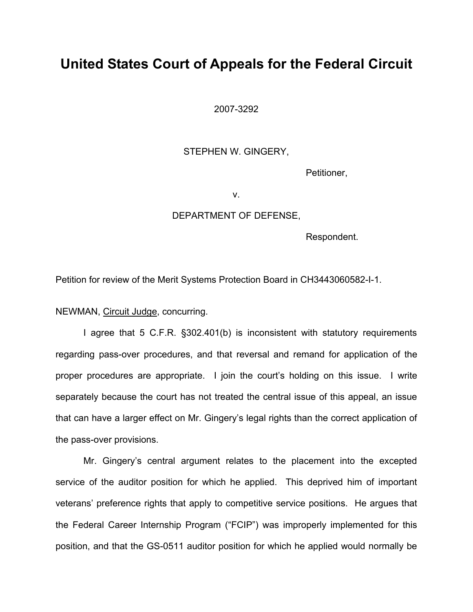## **United States Court of Appeals for the Federal Circuit**

2007-3292

#### STEPHEN W. GINGERY,

Petitioner,

v.

### DEPARTMENT OF DEFENSE,

Respondent.

Petition for review of the Merit Systems Protection Board in CH3443060582-I-1.

NEWMAN, Circuit Judge, concurring.

I agree that 5 C.F.R. §302.401(b) is inconsistent with statutory requirements regarding pass-over procedures, and that reversal and remand for application of the proper procedures are appropriate. I join the court's holding on this issue. I write separately because the court has not treated the central issue of this appeal, an issue that can have a larger effect on Mr. Gingery's legal rights than the correct application of the pass-over provisions.

Mr. Gingery's central argument relates to the placement into the excepted service of the auditor position for which he applied. This deprived him of important veterans' preference rights that apply to competitive service positions. He argues that the Federal Career Internship Program ("FCIP") was improperly implemented for this position, and that the GS-0511 auditor position for which he applied would normally be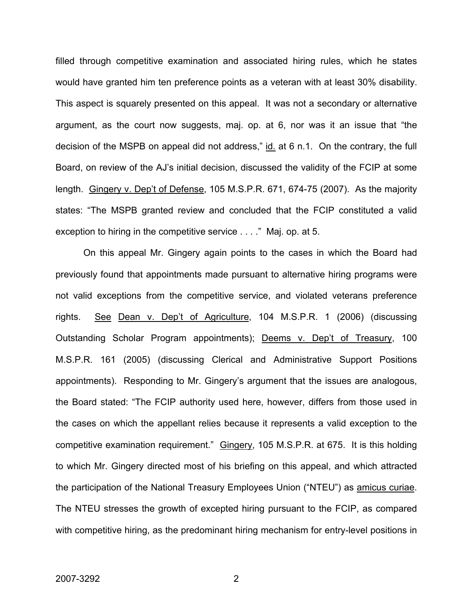filled through competitive examination and associated hiring rules, which he states would have granted him ten preference points as a veteran with at least 30% disability. This aspect is squarely presented on this appeal. It was not a secondary or alternative argument, as the court now suggests, maj. op. at 6, nor was it an issue that "the decision of the MSPB on appeal did not address," id. at 6 n.1. On the contrary, the full Board, on review of the AJ's initial decision, discussed the validity of the FCIP at some length. Gingery v. Dep't of Defense, 105 M.S.P.R. 671, 674-75 (2007). As the majority states: "The MSPB granted review and concluded that the FCIP constituted a valid exception to hiring in the competitive service . . . ." Maj. op. at 5.

On this appeal Mr. Gingery again points to the cases in which the Board had previously found that appointments made pursuant to alternative hiring programs were not valid exceptions from the competitive service, and violated veterans preference rights. See Dean v. Dep't of Agriculture, 104 M.S.P.R. 1 (2006) (discussing Outstanding Scholar Program appointments); Deems v. Dep't of Treasury, 100 M.S.P.R. 161 (2005) (discussing Clerical and Administrative Support Positions appointments). Responding to Mr. Gingery's argument that the issues are analogous, the Board stated: "The FCIP authority used here, however, differs from those used in the cases on which the appellant relies because it represents a valid exception to the competitive examination requirement." Gingery, 105 M.S.P.R. at 675. It is this holding to which Mr. Gingery directed most of his briefing on this appeal, and which attracted the participation of the National Treasury Employees Union ("NTEU") as amicus curiae. The NTEU stresses the growth of excepted hiring pursuant to the FCIP, as compared with competitive hiring, as the predominant hiring mechanism for entry-level positions in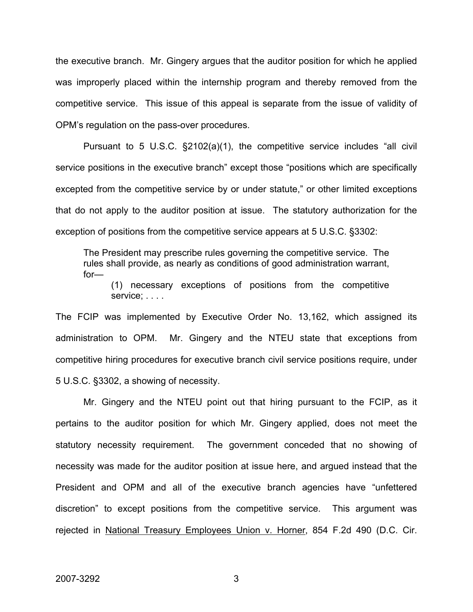the executive branch. Mr. Gingery argues that the auditor position for which he applied was improperly placed within the internship program and thereby removed from the competitive service. This issue of this appeal is separate from the issue of validity of OPM's regulation on the pass-over procedures.

Pursuant to 5 U.S.C. §2102(a)(1), the competitive service includes "all civil service positions in the executive branch" except those "positions which are specifically excepted from the competitive service by or under statute," or other limited exceptions that do not apply to the auditor position at issue. The statutory authorization for the exception of positions from the competitive service appears at 5 U.S.C. §3302:

The President may prescribe rules governing the competitive service. The rules shall provide, as nearly as conditions of good administration warrant, for—

(1) necessary exceptions of positions from the competitive service; . . . .

The FCIP was implemented by Executive Order No. 13,162, which assigned its administration to OPM. Mr. Gingery and the NTEU state that exceptions from competitive hiring procedures for executive branch civil service positions require, under 5 U.S.C. §3302, a showing of necessity.

Mr. Gingery and the NTEU point out that hiring pursuant to the FCIP, as it pertains to the auditor position for which Mr. Gingery applied, does not meet the statutory necessity requirement. The government conceded that no showing of necessity was made for the auditor position at issue here, and argued instead that the President and OPM and all of the executive branch agencies have "unfettered discretion" to except positions from the competitive service. This argument was rejected in National Treasury Employees Union v. Horner, 854 F.2d 490 (D.C. Cir.